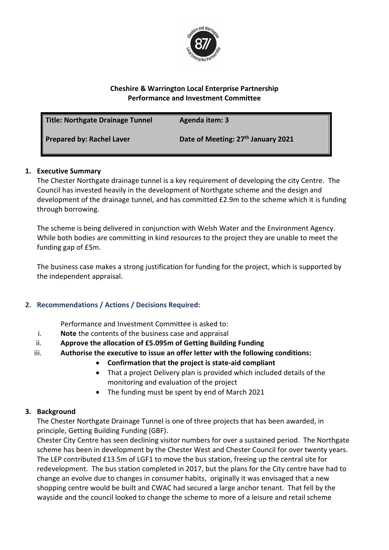

#### **Cheshire & Warrington Local Enterprise Partnership Performance and Investment Committee**

| Title: Northgate Drainage Tunnel | Agenda item: 3                                 |
|----------------------------------|------------------------------------------------|
| Prepared by: Rachel Laver        | Date of Meeting: 27 <sup>th</sup> January 2021 |

## **1. Executive Summary**

The Chester Northgate drainage tunnel is a key requirement of developing the city Centre. The Council has invested heavily in the development of Northgate scheme and the design and development of the drainage tunnel, and has committed £2.9m to the scheme which it is funding through borrowing.

The scheme is being delivered in conjunction with Welsh Water and the Environment Agency. While both bodies are committing in kind resources to the project they are unable to meet the funding gap of £5m.

The business case makes a strong justification for funding for the project, which is supported by the independent appraisal.

# **2. Recommendations / Actions / Decisions Required:**

Performance and Investment Committee is asked to:

- i. **Note** the contents of the business case and appraisal
- ii. **Approve the allocation of £5.095m of Getting Building Funding**
- iii. **Authorise the executive to issue an offer letter with the following conditions:**
	- **Confirmation that the project is state-aid compliant**
		- That a project Delivery plan is provided which included details of the monitoring and evaluation of the project
		- The funding must be spent by end of March 2021

## **3. Background**

The Chester Northgate Drainage Tunnel is one of three projects that has been awarded, in principle, Getting Building Funding (GBF).

Chester City Centre has seen declining visitor numbers for over a sustained period. The Northgate scheme has been in development by the Chester West and Chester Council for over twenty years. The LEP contributed £13.5m of LGF1 to move the bus station, freeing up the central site for redevelopment. The bus station completed in 2017, but the plans for the City centre have had to change an evolve due to changes in consumer habits, originally it was envisaged that a new shopping centre would be built and CWAC had secured a large anchor tenant. That fell by the wayside and the council looked to change the scheme to more of a leisure and retail scheme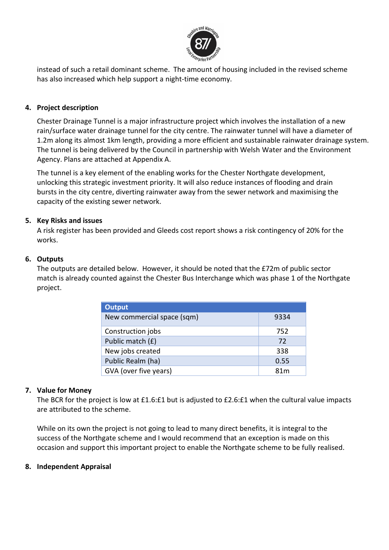

instead of such a retail dominant scheme. The amount of housing included in the revised scheme has also increased which help support a night-time economy.

## **4. Project description**

Chester Drainage Tunnel is a major infrastructure project which involves the installation of a new rain/surface water drainage tunnel for the city centre. The rainwater tunnel will have a diameter of 1.2m along its almost 1km length, providing a more efficient and sustainable rainwater drainage system. The tunnel is being delivered by the Council in partnership with Welsh Water and the Environment Agency. Plans are attached at Appendix A.

The tunnel is a key element of the enabling works for the Chester Northgate development, unlocking this strategic investment priority. It will also reduce instances of flooding and drain bursts in the city centre, diverting rainwater away from the sewer network and maximising the capacity of the existing sewer network.

## **5. Key Risks and issues**

A risk register has been provided and Gleeds cost report shows a risk contingency of 20% for the works.

## **6. Outputs**

The outputs are detailed below. However, it should be noted that the £72m of public sector match is already counted against the Chester Bus Interchange which was phase 1 of the Northgate project.

| <b>Output</b>              |      |
|----------------------------|------|
| New commercial space (sqm) | 9334 |
| Construction jobs          | 752  |
| Public match (£)           | 72   |
| New jobs created           | 338  |
| Public Realm (ha)          | 0.55 |
| GVA (over five years)      | 81 m |

## **7. Value for Money**

The BCR for the project is low at £1.6:£1 but is adjusted to £2.6:£1 when the cultural value impacts are attributed to the scheme.

While on its own the project is not going to lead to many direct benefits, it is integral to the success of the Northgate scheme and I would recommend that an exception is made on this occasion and support this important project to enable the Northgate scheme to be fully realised.

## **8. Independent Appraisal**